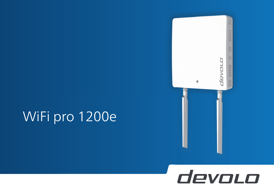# WiFi pro 1200e



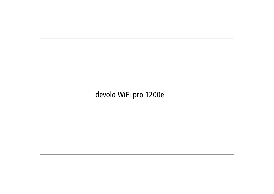## devolo WiFi pro 1200e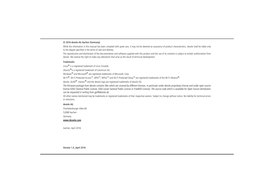#### © 2016 devolo AG Aachen (Germany)

While the information in this manual has been compiled with great care, it may not be deemed an assurance of product characteristics. devolo shall be liable only to the degree specified in the terms of sale and delivery.

The reproduction and distribution of the documentation and software supplied with this product and the use of its contents is subject to written authorization from devolo. We reserve the right to make any alterations that arise as the result of technical development.

#### **Trademarks**

Linux® is a registered trademark of Linus Torvalds.

Ubuntu®is a registered trademark of Canonical Ltd.

Windows<sup>®</sup> and Microsoft<sup>®</sup> are registered trademarks of Microsoft, Corp.

Wi-Fi $^{\circledR}$ , Wi-Fi Protected Access<sup>TM</sup>, WPA<sup>TM</sup>, WPA2<sup>TM</sup> and Wi-Fi Protected Setup<sup>TM</sup> are registered trademarks of the Wi-Fi Alliance $^{\circledR}$ .

devolo, dLAN<sup>®</sup>, Vianect<sup>®</sup> and the devolo logo are registered trademarks of devolo AG.

*The firmware package from devolo contains files which are covered by different licenses, in particular under devolo proprietary license and under open source license (GNU General Public License, GNU Lesser General Public License or FreeBSD License). The source code which is available for Open Source distribution can be requested in writing from gpl@devolo.de.* 

All other names mentioned may be trademarks or registered trademarks of their respective owners. Subject to change without notice. No liability for technical errors or omissions.

#### devolo AG

Charlottenburger Allee 60

52068 Aachen

Germany

**www.devolo.com**

Aachen, April 2016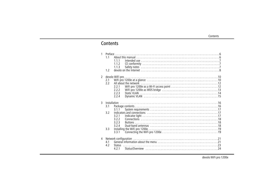## Contents

| $\mathbf{1}$   | 1 <sub>1</sub><br>1.2 | 1.1.1<br>1.1.2<br>1.1.3                            |                                                                                                                 |  |
|----------------|-----------------------|----------------------------------------------------|-----------------------------------------------------------------------------------------------------------------|--|
| $\mathbf{2}$   | 2.1<br>2.2            | 221<br>2.2.2<br>7.7.3<br>2.2.4                     | All about the network influences in the series of the series of the series of the series of the series of the s |  |
| 3              | 3.1<br>3.2<br>3.3     | 3.1.1<br>3.2.1<br>3.2.2<br>3.2.3<br>3.2.4<br>3.3.1 |                                                                                                                 |  |
| $\overline{4}$ | 4.1<br>4.2            |                                                    |                                                                                                                 |  |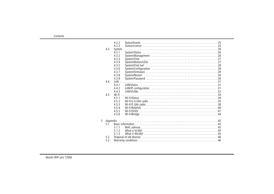|   |          | 4.2.2      |              |
|---|----------|------------|--------------|
|   |          | 4.2.3      |              |
|   | 4.3      | System     |              |
|   |          | 4.3.1      |              |
|   |          | 4.3.2      |              |
|   |          | 4.3.3      |              |
|   |          | 4.3.4      |              |
|   |          | 4.3.5      |              |
|   |          | 4.3.6      |              |
|   |          | 4.3.7      |              |
|   |          | 4.3.8      |              |
|   |          | 4.3.9      |              |
|   | 4.4      | <b>IAN</b> |              |
|   |          | 4.4.1      |              |
|   |          | 4.4.2      |              |
|   |          | 4.4.3      |              |
|   | 4.5      | Wi-Fi      |              |
|   |          | 4.5.1      | Wi-Fi/Status |
|   |          | 4.5.2      |              |
|   |          | 4.5.3      |              |
|   |          | 4.5.4      |              |
|   |          | 4.5.5      |              |
|   |          |            |              |
|   |          | 4.5.6      |              |
|   |          |            |              |
| 5 | Appendix |            |              |
|   | 5.1      |            |              |
|   |          | 5.1.1      |              |
|   |          | 5.1.2      |              |
|   |          | 5.1.3      |              |
|   | 5.2      |            |              |
|   | 5.3      |            |              |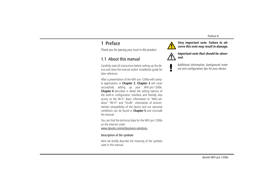## <span id="page-5-0"></span>1 Preface

*Thank you for placing your trust in this product.*

### <span id="page-5-1"></span>1.1 About this manual

Carefully read all instructions before setting up the device and store the manual and/or installation guide for later reference.

After a presentation of the WiFi pro 1200e with sample applications in **Chapter 2**, **Chapter 3** will cover successfully setting up your WiFi pro 1200e. **Chapter <sup>4</sup>** describes in detail the setting options of the built-in configuration interface and thereby also access to the Wi-Fi. Basic information to "MAC-address" "Wi-Fi" and "VLAN", information of environmental compatibility of the device and our warranty conditions can be found in **Chapter 5** and conclude the manual.

You can find the technical data for the WiFi pro 1200e on the Internet under www.devolo.com/en/business-solutions.

### Description of the symbols

Here we briefly describe the meaning of the symbols used in this manual.



*Very important note. Failure to observe this note may result in damage.*



*Important note that should be observed.*



*Additional information, background material and configuration tips for your device.*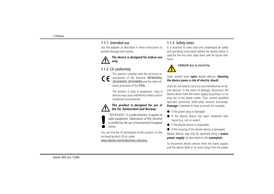### <span id="page-6-0"></span>1.1.1 Intended use

Use the adapter as described in these instructions to prevent damage and injuries.



### <span id="page-6-1"></span>1.1.2 CE conformity

This product complies with the technical requirements of the directive 2014/53/EU, 2014/35/EU, 2014/30/EU and the other relevant provisions of the FTEG.

The product is class A equipment. Class A devices may cause interference when used in residential environments.

### *This product is designed for use in the EU, Switzerland and Norway.*

*"2014/53/EU" is a radio directive. It applies to radio equipment. Observance of this directive is verified by the use of harmonized European norms.*

<span id="page-6-3"></span>You can find the CE declaration of this product on the enclosed product CD or under www.devolo.com/en/business-solutions.

### <span id="page-6-4"></span><span id="page-6-2"></span>1.1.3 Safety notes

It is essential to have read and understood all safety and operating instructions before the devolo device is used for the first time; keep them safe for future reference.



### DANGER due to electricity

Users should never **open** devolo devices. **Opening the device poses a risk of electric shock!**

Users do not need to carry out any maintenance on devolo devices. In the event of damage, disconnect the devolo device from the mains supply by pulling it or its plug out of the power outlet. Then contact qualified specialist personnel (after-sales service) exclusively. **Damage** is deemed to have occurred, for example,

- if the power plug is damaged
- if the devolo device has been showered with liquid (e.g. rain or water).
- if the devolo device is inoperable.
- $\bullet$  if the housing of the devolo device is damaged.

devolo devices may only be operated using a **mains power supply**, as described on the **nameplate**.

To disconnect devolo devices from the mains supply, pull the device itself or its mains plug from the power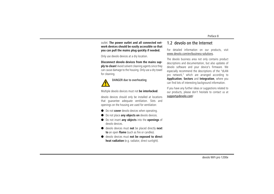### outlet. **The power outlet and all connected network devices should be easily accessible so that you can pull the mains plug quickly if needed.**

Only use devolo devices at a dry location.

**Disconnect devolo devices from the mains supply to clean!** Avoid solvent cleaning agents since they can cause damage to the housing. Only use a dry towel for cleaning.



### DANGER due to overheating

Multiple devolo devices must not **be interlocked**.

devolo devices should only be installed at locations that guarantee adequate ventilation. Slots and openings on the housing are used for ventilation:

- Do not **cover** devolo devices when operating.
- Do not place **any objects on** devolo devices.
- **•** Do not insert **any objects** into the **openings** of devolo devices.
- devolo devices must **not** be placed directly **next to** an open **flame** (such as fire or candles).
- $\bullet$  devolo devices must **not be exposed to direct heat radiation** (e.g. radiator, direct sunlight).

### <span id="page-7-0"></span>1.2 devolo on the Internet

For detailed information on our products, visit www.devolo.com/en/business-solutions.

The devolo business area not only contains product descriptions and documentation, but also updates of devolo software and your device's firmware. We especially recommend the descriptions of the "dLAN pro network," which are arranged according to **Application**, **Sectors** and **Integration**, where you can find lots of interesting background information.

If you have any further ideas or suggestions related to our products, please don't hesitate to contact us at support@devolo.com!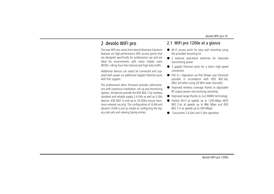### <span id="page-9-0"></span>2 devolo WiFi pro

The new WiFi pro series from devolo Business Solutions features six high-performance WiFi access points that are designed specifically for professional use and are ideal for environments with many mobile users (BYOD = Bring Your Own Device) and high data traffic.

Additional devices can easily be connected and supplied with power via additional Gigabit Ethernet ports with PoE support.

The professional delos firmware provides administrators with numerous installation, set-up and monitoring options. All devices provide the IEEE 802.11ac wireless standard and reliably supply 2.4 GHz as well as 5 GHz devices. IEEE 802.1x and up to 16 SSIDs ensure maximum network security. The configuration of VLAN and dynamic VLAN is just as simple as configuring the legacy rate sets and viewing Syslog entries.

### <span id="page-9-1"></span>2.1 WiFi pro 1200e at a glance

- Wi-Fi access point for easy wall mounting using the provided mounting kit
- 2 external dual-band antennas for improved transmitting power
- 2 gigabit Ethernet ports for a direct high-speed connection
- PoE in—Operation via PoE (Power over Ethernet) possible in accordance with IEEE 802.3at; (802.3af when using 20 MHz wide channels)
- Improved wireless coverage thanks to adjustable RF output power and receiving sensitivity
- $\bullet$ Improved range thanks to 2×2 MIMO technology
- Fastest Wi-Fi at speeds up to 1200 Mbps (IEEE 802.11ac at speeds up to 866 Mbps and IEEE 802.11n at speeds up to 300 Mbps)
- $\bullet$ Concurrent 2.4 GHz and 5 GHz operation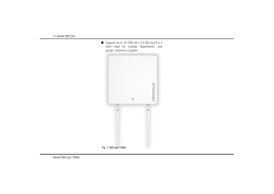• Supports up to 16 SSIDs (8  $\times$  2.4 GHz and 8  $\times$  5 GHz)—ideal for multiple departments, user groups, customers or guests

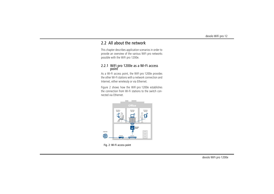### <span id="page-11-0"></span>2.2 All about the network

This chapter describes application scenarios in order to provide an overview of the various WiFi pro networks possible with the WiFi pro 1200e.

## <span id="page-11-1"></span>2.2.1 WiFi pro 1200e as a Wi-Fi access point

<span id="page-11-2"></span>As a Wi-Fi access point, the WiFi pro 1200e provides the other Wi-Fi stations with a network connection andInternet, either wirelessly or via Ethernet.

Figure 2 shows how the WiFi pro 1200e establishes the connection from Wi-Fi stations to the switch connected via Ethernet.



Fig. 2: Wi-Fi access point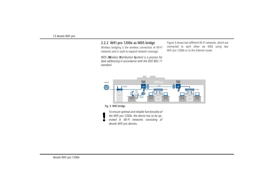### <span id="page-12-2"></span><span id="page-12-0"></span>2.2.2 WiFi pro 1200e as WDS bridge

Wireless bridging is the wireless connection of Wi-Fi networks and is used to expand network coverage.

*WDS (***W***ireless* **D***istribution* **S***ystem) is a process for data addressing in accordance with the IEEE 802.11 standard.* 

<span id="page-12-1"></span>Figure 3 shows two different Wi-Fi networks, which are connected to each other via WDS using two WiFi pro 1200e or to the Internet router.



#### Fig. 3: WDS bridge

*To ensure optimal and reliable functionality of the WiFi pro 1200e, the device has to be operated in Wi-Fi networks consisting of devolo WiFi pro devices.*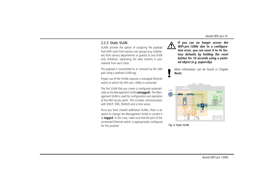### <span id="page-13-4"></span><span id="page-13-1"></span><span id="page-13-0"></span>2.2.3 Static VLAN

VLANs provide the option of assigning the payload from WiFi users from various user groups (e.g. employees from various departments or guests) to any VLAN and, therefore, separating the data streams in your network from each other.

The payload is transmitted to or received by the LAN port using a prefixed VLAN tag.

Proper use of the VLANs requires a managed Ethernet switch to which the WiFi pro 1200e is connected.

The first VLAN that you create is configured automatically as the Management VLAN (**untagged**). The Management VLAN is used for configuration and operation of the WiFi access point. This includes communication with DHCP, DNS, RADIUS and a time server.

<span id="page-13-3"></span>Once you have created additional VLANs, there is an option to change the Management VLAN or convert it to **tagged**. In this case, make sure that the port of the connected Ethernet switch is appropriately configured for this purpose.



*If you can no longer access the WiFi pro 1200e due to a configuration error, you can reset it to its factory defaults by holding the reset button for 10 seconds using a pointed object (e.g. paperclip).* 

*More information can be found in Chapter* **[Reset](#page-17-3)***.*

<span id="page-13-5"></span><span id="page-13-2"></span>

Fig. 4: Static VLAN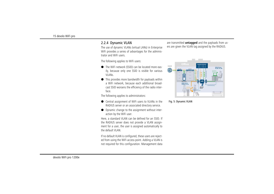### <span id="page-14-1"></span><span id="page-14-0"></span>2.2.4 Dynamic VLAN

<span id="page-14-3"></span>The use of dynamic VLANs (virtual LANs) in Enterprise WiFi provides a series of advantages for the administrator and WiFi users.

The following applies to WiFi users:

- <span id="page-14-5"></span>- The WiFi network (SSID) can be located more easily, because only one SSID is visible for various VLANs.
- $\bullet$  This provides more bandwidth for payloads within a WiFi network, because each additional broadcast SSID worsens the efficiency of the radio interface.

The following applies to administrators:

- <span id="page-14-4"></span>● Central assignment of WiFi users to VLANs in the RADIUS server or an associated directory service.
- Dynamic change to the assignment without interaction by the WiFi user.

<span id="page-14-2"></span>Here, a standard VLAN can be defined for an SSID. If the RADIUS server does not provide a VLAN assignment for a user, the user is assigned automatically to the default VLAN.

If no default VLAN is configured, these users are rejected from using the WiFi access point. Adding a VLAN is not required for this configuration. Management data are transmitted **untagged** and the payloads from users are given the VLAN tag assigned by the RADIUS.



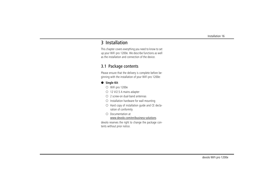### <span id="page-15-0"></span>3 Installation

This chapter covers everything you need to know to set up your WiFi pro 1200e. We describe functions as well as the installation and connection of the device.

### <span id="page-15-2"></span><span id="page-15-1"></span>3.1 Package contents

Please ensure that the delivery is complete before beginning with the installation of your WiFi pro 1200e:

### - **Single Kit**:

- WiFi pro 1200e
- 12 V/2.5 A mains adapter
- 2 screw-on dual-band antennas
- $\circlearrowright$  Installation hardware for wall mounting
- $\circlearrowright$  Hard copy of installation guide and CE declaration of conformity
- $\circlearrowright$  Documentation at www.devolo.com/en/business-solutions

devolo reserves the right to change the package contents without prior notice.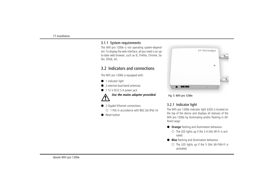### <span id="page-16-0"></span>3.1.1 System requirements

The WiFi pro 1200e is not operating system-dependent. To display the web interface, all you need is an upto-date web browser, such as IE, Firefox, Chrome, Safari, EDGE, etc.

### <span id="page-16-1"></span>3.2 Indicators and connections

The WiFi pro 1200e is equipped with:

- $\bullet$  1 indicator light
- $\bullet$ 2 external dual-band antennas
- $\bullet$ 1 12 V DC/2.5 A power jack



- 2 Gigabit Ethernet connections
	- 1 PoE in accordance with 802.3at (PoE in)
- $\bullet$ Reset button





### <span id="page-16-3"></span><span id="page-16-2"></span>3.2.1 Indicator light

The WiFi pro 1200e indicator light (LED) is located on the top of the device and displays all statuses of the WiFi pro 1200e by illuminating and/or flashing in different ways:

- **Orange** flashing and illumination behaviour
	- $\circlearrowright$  The LED lights up if the 2.4 GHz Wi-Fi is activated.
- **Blue** flashing and illumination behaviour
	- $\circlearrowright$  The LED lights up if the 5 GHz Wi-FiWi-Fi is activated.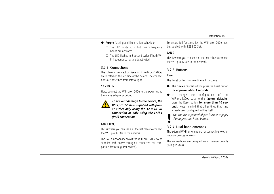- **Purple** flashing and illumination behaviour
	- $\circlearrowright$  The LED lights up if both Wi-Fi frequency bands are activated.
	- $\circ$  The LED flashes in 5 second cycles if both Wi-Fi frequency bands are deactivated.

### <span id="page-17-5"></span><span id="page-17-0"></span>3.2.2 Connections

The following connections (see fig. 7: WiFi pro 1200e) are located on the left side of the device. The connections are described from left to right.

### 12 V DC IN

Here, connect the WiFi pro 1200e to the power using the mains adapter provided.



*To prevent damage to the device, the WiFi pro 1200e is supplied with power either only using the 12 V DC IN connection or only using the LAN 1 (PoE) connection.* 

### LAN 1 (PoE)

This is where you can use an Ethernet cable to connect the WiFi pro 1200e to the network.

<span id="page-17-6"></span>The PoE functionality allows the WiFi pro 1200e to be supplied with power through a connected PoE-compatible device (e.g. PoE switch).

To ensure full functionality, the WiFi pro 1200e must be supplied with IEEE 802.3at.

### LAN 2

This is where you can use an Ethernet cable to connect the WiFi pro 1200e to the network.

### <span id="page-17-3"></span><span id="page-17-1"></span>3.2.3 Buttons

### <span id="page-17-7"></span><span id="page-17-4"></span>Reset

The Reset button has two different functions:

- **The device restarts** if you press the Reset button **for approximately 3 seconds**.
- $\bullet$  To change the configuration of the WiFi pro 1200e back to the **factory defaults**, press the Reset button **for more than 10 seconds**. Keep in mind that all settings that have already been configured will be lost!
	- *You can use a pointed object (such as a paper clip) to press the Reset button.*

### <span id="page-17-8"></span><span id="page-17-2"></span>3.2.4 Dual-band antennas

The external Wi-Fi antennas are for connecting to other network devices wirelessly.

The connections are designed using reverse polarity SMA (RP-SMA).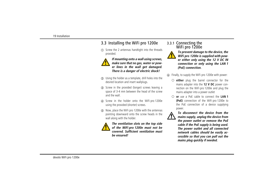### <span id="page-18-0"></span>3.3 Installing the WiFi pro 1200e

- Screw the 2 antennas handtight into the threads provided.



<span id="page-18-2"></span>*If mounting onto a wall using screws, make sure that no gas, water or power lines in the wall get damaged. There is a danger of electric shock!*

- Using the holder as a template, drill holes into the desired location and insert wallplugs.
- Screw in the provided (longer) screws leaving a space of 3-4 mm between the head of the screw and the wall.
- Screw in the holder onto the WiFi pro 1200e using the provided (shorter) screws.
- Now, place the WiFi pro 1200e with the antennas pointing downward onto the screw heads in the wall along with the holder.



*The ventilation slots on the top side of the WiFi pro 1200e must not be covered. Sufficient ventilation mustbe ensured!*

# <span id="page-18-1"></span>3.3.1 Connecting the WiFi pro 1200e



*To prevent damage to the device, the WiFi pro 1200e is supplied with power either only using the 12 V DC IN connection or only using the LAN 1 (PoE) connection.*

Finally, to supply the WiFi pro 1200e with power:

- **either** plug the barrel connector for the mains adapter into the **12 V DC** power connection on the WiFi pro 1200e and plug the mains adapter into a power outlet
- **or** use a PoE cable to connect the **LAN 1 (PoE)** connection of the WiFi pro 1200e to the PoE connection of a device supplying power.



*To disconnect the device from themains supply, unplug the device from the power outlet or remove the PoE cable if the PoE supply is being used. The power outlet and all connected network cables should be easily accessible so that you can pull out the mains plug quickly if needed.*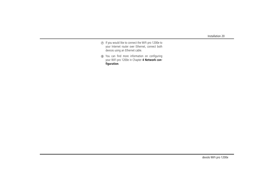- If you would like to connect the WiFi pro 1200e to your Internet router over Ethernet, connect both devices using an Ethernet cable.
- You can find more information on configuring your WiFi pro 1200e in Chapter **[4 Network con](#page-20-2)[figuration](#page-20-2)**.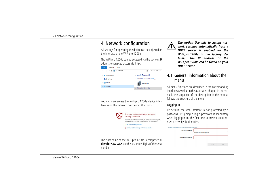## <span id="page-20-2"></span><span id="page-20-0"></span><sup>4</sup> Network configuration

<span id="page-20-3"></span>All settings for operating the device can be adjusted on the interface of the WiFi pro 1200e.

The WiFi pro 1200e can be accessed via the device's IP address (encrypted access via https).



You can also access the WiFi pro 1200e device interface using the network overview in Windows.



The host name of the WiFi pro 1200e is comprise **devolo-XXX; XXX** are the last three digits of the serial number.



*The option Use this to accept network settings automatically from a DHCP server is enabled for theWiFi pro 1200e in the factory defaults. The IP address of theWiFi pro 1200e can be found on your DHCP server.*

### <span id="page-20-1"></span>4.1 General information about the menu

All menu functions are described in the corresponding interface as well as in the associated chapter in the manual. The sequence of the description in the manual follows the structure of the menu.

### Logging in

<span id="page-20-4"></span>By default, the web interface is not protected by a password. Assigning a login password is mandatory when logging in for the first time to prevent unauthorised access by third parties.

|        | You have to protect access to your device with a password! |                                   |        |      |  |  |
|--------|------------------------------------------------------------|-----------------------------------|--------|------|--|--|
|        | Enter new password:                                        | The minimum password length is 8. |        |      |  |  |
| ed of  | Confirm new password:                                      |                                   |        |      |  |  |
| serial |                                                            |                                   | Cancel | Save |  |  |
|        |                                                            |                                   |        |      |  |  |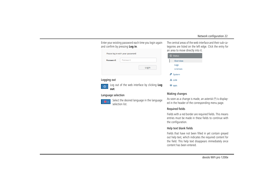Enter your existing password each time you login again and confirm by pressing **Log in**.

| Please log in with your password! |          |       |  |
|-----------------------------------|----------|-------|--|
| Password:                         | Password |       |  |
|                                   |          | Login |  |
|                                   |          |       |  |

### Logging out



Log out of the web interface by clicking **Log out**.

### Language selection



Select the desired language in the language selection list.

The central areas of the web interface and their sub-categories are listed on the left edge. Click the entry for an area to move directly into it.

| <b>G</b> Status     |
|---------------------|
| Overview            |
| Logs                |
| Licenses            |
| <sup>o</sup> System |
| <b>កំ</b> រូ LAN    |
| WiFi                |

### Making changes

As soon as a change is made, an asterisk (\*) is displayed in the header of the corresponding menu page.

### Required fields

Fields with a red border are required fields. This means entries must be made in these fields to continue withthe configuration.

### Help text blank fields

Fields that have not been filled in yet contain greyed out help text, which indicates the required content for the field. This help text disappears immediately once content has been entered.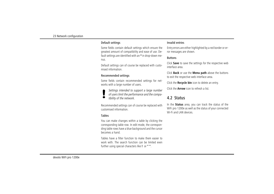#### Default settings

Some fields contain default settings which ensure the greatest amount of compatibility and ease of use. Default settings are identified with an **\*** in drop-down menus.

Default settings can of course be replaced with customised information.

### Recommended settings

Some fields contain recommended settings for networks with a large number of users.

- *Settings intended to support a large number*
- *of users limit the performance and the compa-*
- *tibility of the network.*

Recommended settings can of course be replaced with customised information.

### Tables

You can make changes within a table by clicking the corresponding table row. In edit mode, the corresponding table rows have a blue background and the cursor becomes a hand.

Tables have a filter function to make them easier towork with. The search function can be limited evenfurther using special characters like **!** or **" "**.

#### Invalid entries

Entry errors are either highlighted by a red border or error messages are shown.

#### **Buttons**

Click **Save** to save the settings for the respective web interface area.

Click **Back** or use the **Menu path** above the buttons to exit the respective web interface area.

Click the **Recycle bin** icon to delete an entry.

Click the **Arrow** icon to refresh a list.

### <span id="page-22-0"></span>4.2 Status

In the **Status** area, you can track the status of the WiFi pro 1200e as well as the status of your connected Wi-Fi and LAN devices.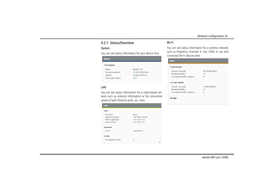### <span id="page-23-0"></span>4.2.1 Status/Overview

#### System

You can see status information for your device here.

| <b>System</b>                                                |                                                             |  |  |  |
|--------------------------------------------------------------|-------------------------------------------------------------|--|--|--|
| <b>Information</b>                                           |                                                             |  |  |  |
| Name:<br>Firmware version:<br>Uptime:<br>CPU load (15 min.): | devolo-123<br>2.1.0 (2016-03-16)<br>0 days, 00:52:43<br>30% |  |  |  |

### LAN

You can see status information for a cable-based network such as protocol information or the connection speed of both Ethernet ports, etc. here.

| LAN                      |                  |  |  |  |  |
|--------------------------|------------------|--|--|--|--|
| IP <sub>v4</sub>         |                  |  |  |  |  |
| Protocol:                | dhcp             |  |  |  |  |
| Address/Subnet:          | 192.168.0.209/24 |  |  |  |  |
| Default gateway:         | 192.168.0.100    |  |  |  |  |
| Name server:             | 192.168.0.100    |  |  |  |  |
| <b>Ethernet</b>          |                  |  |  |  |  |
| <b>LAN 1:</b>            | 1000 Mbit/s      |  |  |  |  |
| <b>VLANs</b>             |                  |  |  |  |  |
| <b>Configured VLANs:</b> | 3                |  |  |  |  |
|                          |                  |  |  |  |  |

#### Wi-Fi

You can see status information for a wireless networksuch as frequency channels in use, SSIDs in use and connected Wi-Fi devices here.

| WiFi                            |               |  |
|---------------------------------|---------------|--|
| <b>5 GHz Radio</b>              |               |  |
| Actual channel:                 | 36 (5180 MHz) |  |
| <b>Enabled SSIDs:</b>           | 1/1           |  |
| <b>Connected WiFi stations:</b> | n             |  |
| 2.4 GHz Radio                   |               |  |
| Actual channel:                 | 1 (2412 MHz)  |  |
| <b>Enabled SSIDs:</b>           | 1/1           |  |
| <b>Connected WiFi stations:</b> | n             |  |
| <b>Bridge</b>                   |               |  |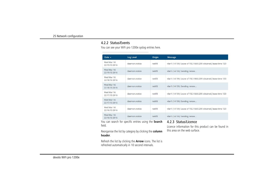### <span id="page-24-0"></span>4.2.2 Status/Events

You can see your WiFi pro 1200e syslog entries here.

| Date $\sim$                 | Log Level     | Origin | Message                                                        |
|-----------------------------|---------------|--------|----------------------------------------------------------------|
| Wed Mar 16<br>22:19:13 2016 | daemon.notice | netifd | vlan1 (14159): Lease of 192.168.0.209 obtained, lease time 120 |
| Wed Mar 16<br>22:19:13 2016 | daemon.notice | netifd | vlan1 (14159): Sending renew                                   |
| Wed Mar 16<br>22:18:13 2016 | daemon.notice | netifd | vlan1 (14159): Lease of 192.168.0.209 obtained, lease time 120 |
| Wed Mar 16<br>22:18:13 2016 | daemon.notice | netifd | vlan1 (14159): Sending renew                                   |
| Wed Mar 16<br>22:17:13 2016 | daemon.notice | netifd | vlan1 (14159): Lease of 192.168.0.209 obtained, lease time 120 |
| Wed Mar 16<br>22:17:13 2016 | daemon notice | netifd | vlan1 (14159): Sending renew                                   |
| Wed Mar 16<br>22:16:13 2016 | daemon.notice | netifd | vlan1 (14159): Lease of 192.168.0.209 obtained, lease time 120 |
| Wed Mar 16<br>22:16:13 2016 | daemon.notice | netifd | vlan1 (14159): Sending renew                                   |

You can search for specific entries using the **Search** field.

Reorganise the list by category by clicking the **column header**.

Refresh the list by clicking the **Arrow** icons. The list is refreshed automatically in 10 second intervals.

### <span id="page-24-1"></span>4.2.3 Status/Licence

Licence information for this product can be found in this area on the web surface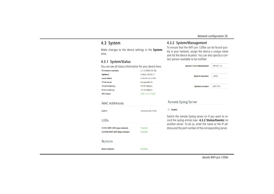### <span id="page-25-0"></span>4.3 System

Make changes to the device settings in the **System** area.

### <span id="page-25-1"></span>4.3.1 System/Status

You can see all status information for your device here.

| <b>Firmware version:</b> | 2.1.0 (2016-03-16) |
|--------------------------|--------------------|
| <b>Uptime:</b>           | 0 days, 00:54:11   |
| <b>Local time:</b>       | 3/16/16 10:19 PM   |
| Time zone:               | Europe/Berlin      |
| <b>Total memory:</b>     | 59.68 MBytes       |
| <b>Free memory:</b>      | 22.14 MBytes       |
| <b>CPU</b> load:         | 0.05/0.16/0.28     |

MAC Addresses

| LAN <sub>1</sub>                                                 | 30:D3:2D:45:70:F6  |
|------------------------------------------------------------------|--------------------|
| LEDs                                                             |                    |
| 5 GHz WiFi LED (type status):<br>2.4 GHz WiFi LED (type status): | Enabled<br>Enabled |
|                                                                  |                    |

#### **Buttons**

**Reset button:** 

Enabled

### <span id="page-25-2"></span>4.3.2 System/Management

To ensure that the WiFi pro 1200e can be found quickly in your network, assign the device a unique name and list the device location. You can also specify a contact person available to be notified

| <b>System name (hostname):</b> | devolo-123 |
|--------------------------------|------------|
| <b>System location:</b>        | Lobby      |
| <b>System contact:</b>         | John Doe   |

### **Remote Syslog Server**

<span id="page-25-3"></span> $\Box$  Enable

Switch the remote Syslog server on if you want to record the syslog entries (see **[4.2.2 Status/Events](#page-24-0)**) on another server. To do so, enter the name or the IP address and the port number of the corresponding server.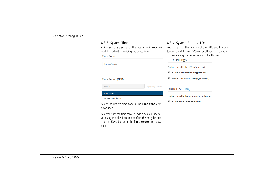### <span id="page-26-0"></span>4.3.3 System/Time

A time server is a server on the Internet or in your network tasked with providing the exact time.

Time Zone

Search ...

**Time Server** 

Europe/London

Time Server (NTP)

europe.pool.ntp.org

<span id="page-26-3"></span><span id="page-26-2"></span><span id="page-26-1"></span>

| 4.3.4 System/Button/LEDs |  |
|--------------------------|--|
|--------------------------|--|

You can switch the function of the LEDs and the buttons on the WiFi pro 1200e on or off here by activating or deactivating the corresponding checkboxes.

### **LED** settings

Enable or disable the LEDs of your device.

- Enable 5 GHz WiFi LED (type status)
- Enable 2.4 GHz WiFi LED (type status)

### **Button settings**

display 1 of 1 entries

Enable or disable the buttons of your devices.

Enable Reset/Restart button

Select the desired time zone in the **Time zone** dropdown menu.

<span id="page-26-4"></span>Select the desired time server or add a desired time server using the plus icon and confirm the entry by pressing the **Save** button in the **Time server** drop-down menu.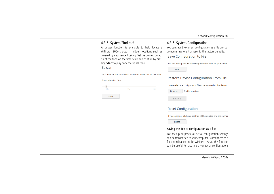### <span id="page-27-0"></span>4.3.5 System/Find me!

A buzzer function is available to help locate a WiFi pro 1200e placed in hidden locations such as covered by a suspended ceiling. Set the desired duration of the tone on the time scale and confirm by pressing **Start** to play back the signal tone. **Buzzer** 

Set a duration and click "Start" to activate the buzzer for this time.

Buzzer duration: 10 s

| $\equiv$     |     |             |
|--------------|-----|-------------|
| 10s<br>1s    | 60s | <b>120s</b> |
|              |     |             |
| <b>Start</b> |     |             |

### <span id="page-27-1"></span>4.3.6 System/Configuration

You can save the current configuration as a file on your computer, restore it or reset to the factory defaults.

#### Save Configuration to File

You can backup the device configuration as a file on your compu

Save

### **Restore Device Configuration From File**

Please select the configuration file to be restored to this device.

| Browse  | No file selected. |
|---------|-------------------|
| Restore |                   |

### **Reset Configuration**

If you continue, all device settings will be deleted and the configu

Reset

#### Saving the device configuration as a file

For backup purposes, all active configuration settings can be transmitted to your computer, stored there as a file and reloaded on the WiFi pro 1200e. This function can be useful for creating a variety of configurations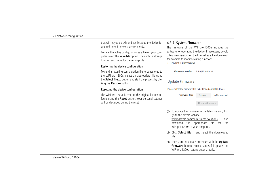that will let you quickly and easily set up the device for use in different network environments.

To save the active configuration as a file on your computer, select the **Save file** option. Then enter a storage location and name for the settings file.

### Restoring the device configuration

To send an existing configuration file to be restored to the WiFi pro 1200e, select an appropriate file using the **Select file…** button and start the process by clicking the **Restore** button.

### Resetting the device configuration

The WiFi pro 1200e is reset to the original factory defaults using the **Reset** button. Your personal settings will be discarded during the reset.

### <span id="page-28-0"></span>4.3.7 System/Firmware

The firmware of the WiFi pro 1200e includes the software for operating the device. If necessary, devolo offers new versions on the Internet as a file download, for example to modify existing functions. **Current Firmware** 

**Firmware version: 2.1.0 (2016-03-16)** 

### **Update Firmware**

Please select the firmware file to be loaded onto this device.

**Firmware file:** 

No file selected. Browse ...

<span id="page-28-1"></span>Update firmware

- To update the firmware to the latest version, first go to the devolo website,
	- www.devolo.com/en/business-solutions, and download the appropriate file for the WiFi pro 1200e to your computer.
- Click **Select file…** and select the downloaded file.
- Then start the update procedure with the **Update firmware** button. After a successful update, the WiFi pro 1200e restarts automatically.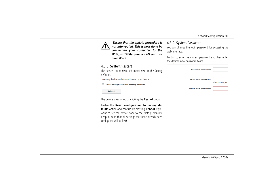

 *Ensure that the update procedure is not interrupted. This is best done by connecting your computer to the WiFi pro 1200e over a LAN and not over Wi-Fi.* 

### <span id="page-29-3"></span><span id="page-29-0"></span>4.3.8 System/Restart

The device can be restarted and/or reset to the factory defaults.

Pressing the button below will restart your device.

Reset configuration to factory defaults

Reboot

The device is restarted by clicking the **Restart** button.

Enable the **Reset configuration to factory defaults** option and confirm by pressing **Reboot** if you want to set the device back to the factory defaults. Keep in mind that all settings that have already been configured will be lost!

### <span id="page-29-2"></span><span id="page-29-1"></span>4.3.9 System/Password

You can change the login password for accessing the web interface.

To do so, enter the current password and then enter the desired new password twice.

| <b>Enter old password:</b>   |                  |
|------------------------------|------------------|
| <b>Enter new password:</b>   | The minimum pass |
| <b>Confirm new password:</b> |                  |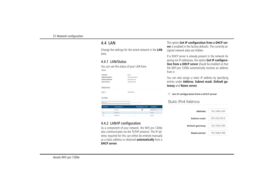### <span id="page-30-0"></span>4.4 LAN

 $IPv4$ 

Change the settings for the wired network in the **LAN** area.

### <span id="page-30-1"></span>4.4.1 LAN/Status

You can see the status of your LAN here.

| Protocol:        |                | dhcp                   |                      |
|------------------|----------------|------------------------|----------------------|
| Address/Subnet:  |                | 192.168.0.209/24       |                      |
| Default gateway: |                | 192.168.0.100          |                      |
| Name server:     |                | 192.168.0.100          |                      |
| Ethernet         |                |                        |                      |
| LAN 1:           |                | 1000 Mbit/s            |                      |
| <b>VLANs</b>     |                |                        |                      |
| bearch           |                | display 3 of 3 entries |                      |
| <b>VLAN ID</b>   | VLAN Name .    | Management VLAN        | <b>Interfaces</b>    |
|                  | VLAN 1         | م                      | devolo-123 (2.4 GHz) |
| 20               | <b>VLAN 20</b> |                        | LAN 1                |
| 35               | VLAN 35        |                        | LAN T                |
|                  |                |                        |                      |

### <span id="page-30-2"></span>4.4.2 LAN/IP configuration

As a component of your network, the WiFi pro 1200e also communicates via the TCP/IP protocol. The IP address required for this can either be entered manually as a static address or obtained **automatically** from a **DHCP server**.

The option **Get IP configuration from a DHCP server** is enabled in the factory defaults. The currently assigned network data are hidden.

<span id="page-30-3"></span>If a DHCP server is already present in the network for giving out IP addresses, the option **Get IP configuration from a DHCP server** should be enabled so thatthe WiFi pro 1200e automatically receives an address from it.

<span id="page-30-4"></span>You can also assign a static IP address by specifying entries under **Address**, **Subnet mask**, **Default gateway** and **Name server**.

**Get IP configuration from a DHCP server** 

### Static IPv4 Address

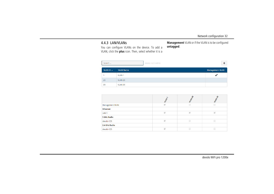### <span id="page-31-1"></span><span id="page-31-0"></span>4.4.3 LAN/VLANs

You can configure VLANs on the device. To add a VLAN, click the **plus** icon. Then, select whether it is a

**Management** VLAN or if the VLAN is to be configured **untagged**.

| Search    |                  | display 3 of 3 entries |                        |
|-----------|------------------|------------------------|------------------------|
| VLAN ID 4 | <b>VLAN Name</b> |                        | <b>Management VLAN</b> |
|           | <b>VLAN1</b>     |                        |                        |
| 20        | VLAN 20          |                        |                        |
| 35        | VLAN 35          |                        |                        |

|                        | VLAN 1                   | <b>VLAN 20</b> | <b>VLANSS</b> |
|------------------------|--------------------------|----------------|---------------|
| <b>Management VLAN</b> | $\mathcal{A}$            |                |               |
| <b>Ethernet</b>        |                          |                |               |
| LAN <sub>1</sub>       | $\mathcal{A}$            | $\mathcal{A}$  | $\mathcal{A}$ |
| <b>5 GHz Radio</b>     |                          |                |               |
| devolo-123             | $\overline{\mathcal{A}}$ |                |               |
| 2.4 GHz Radio          |                          |                |               |
| devolo-123             | $\overline{\mathcal{A}}$ |                |               |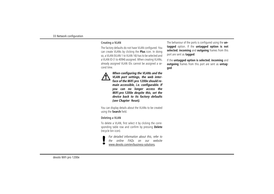#### Creating a VLAN

<span id="page-32-0"></span>The factory defaults do not have VLAN configured. You can create VLANs by clicking the **Plus** icon. In doing so, a VLAN (VLAN 1 to VLAN 16) has to be selected and a VLAN ID (1 to 4094) assigned. When creating VLANs, already assigned VLAN IDs cannot be assigned a second time.



*When configuring the VLANs and the VLAN port settings, the web interface of the WiFi pro 1200e should remain accessible, i.e. configurable. If you can no longer access the WiFi pro 1200e despite this, set the device back to its factory defaults (see Chapter* **[Reset](#page-17-3)***).*

You can display details about the VLANs to be created using the **Search** field.

### Deleting a VLAN

To delete a VLAN, first select it by clicking the corresponding table row and confirm by pressing **Delete** (recycle bin icon).

*For detailed information about this, refer to*

*the online FAQs on our website*

www.devolo.com/en/business-solutions*.* 

The behaviour of the ports is configured using the **untagged** option. If the **untagged option is not selected**, **incoming** and **outgoing** frames from this port are sent as **tagged**.

If the **untagged option is selected**, **incoming** and **outgoing** frames from this port are sent as **untagged**.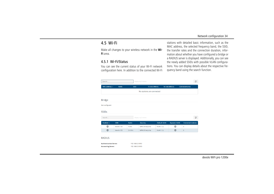### <span id="page-33-0"></span>4.5 Wi-Fi

Make all changes to your wireless network in the **Wi-Fi** area.

### <span id="page-33-1"></span>4.5.1 Wi-Fi/Status

You can see the current status of your Wi-Fi network configuration here. In addition to the connected Wi-Fi stations with detailed basic information, such as the MAC address, the selected frequency band, the SSID, the transfer rates and the connection duration, information about whether you have configured a bridge or a RADIUS server is displayed. Additionally, you can see the newly added SSIDs with possible VLAN configurations. You can display details about the respective frequency band using the search function.

| Search                                                     |             |                                      | display 0 of 0 entries    |                     |                     |                           | c |
|------------------------------------------------------------|-------------|--------------------------------------|---------------------------|---------------------|---------------------|---------------------------|---|
| MAC address $\star$                                        | Radio       | <b>SSID</b>                          | Tx rate (Mbit/s)          |                     | Rx rate (Mbit/s)    | <b>Connected since</b>    |   |
|                                                            |             |                                      | No stations are connected |                     |                     |                           |   |
| <b>Bridge</b>                                              |             |                                      |                           |                     |                     |                           |   |
| Not configured.                                            |             |                                      |                           |                     |                     |                           |   |
| <b>SSIDs</b>                                               |             |                                      |                           |                     |                     |                           |   |
| Search                                                     |             |                                      | display 2 of 2 entries    |                     |                     |                           | ø |
| Enabled $\sim$                                             | <b>SSID</b> | Radio                                | <b>Security</b>           | <b>Default VLAN</b> | <b>Dynamic VLAN</b> | <b>Connected stations</b> |   |
| ⊛                                                          | devolo-123  | 5 GHz                                | WPA2-Enterprise           | <b>VLAN 1 (1)</b>   | ◉                   | $\bf{0}$                  |   |
| $\odot$                                                    | devolo-123  | $2.4$ GHz                            | WPA2-Enterprise           | <b>VLAN 1 (1)</b>   | ⊛                   | $\bf{0}$                  |   |
| <b>RADIUS</b>                                              |             |                                      |                           |                     |                     |                           |   |
| <b>Authentication Server:</b><br><b>Accounting Server:</b> |             | 192.168.0.2:1812<br>192.168.0.3:1813 |                           |                     |                     |                           |   |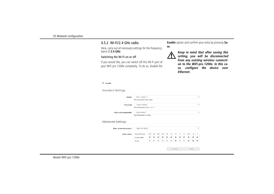### <span id="page-34-0"></span>4.5.2 Wi-Fi/2.4 GHz radio

Here, carry out all necessary settings for the frequency band of **2.4 GHz**.

### Switching the Wi-Fi on or off

If you would like, you can switch off this Wi-Fi part of your WiFi pro 1200e completely. To do so, disable the **Enable** option and confirm your entry by pressing **Save**.

<span id="page-34-1"></span>

*Keep in mind that after saving this setting, you will be disconnected from any existing wireless connection to the WiFi pro 1200e. In this case, configure the device over Ethernet.*

 $\sqrt{ }$  Fnable

Ad

#### **Standard Settings**

| Mode:                       | 802.11b/g/n *               |                          |                       |                       |                       |                       |                          |                       |                          |                          |                       |                       | ▼            |
|-----------------------------|-----------------------------|--------------------------|-----------------------|-----------------------|-----------------------|-----------------------|--------------------------|-----------------------|--------------------------|--------------------------|-----------------------|-----------------------|--------------|
|                             | Recommended: 802.11g/n      |                          |                       |                       |                       |                       |                          |                       |                          |                          |                       |                       |              |
| <b>Channel:</b>             | 1 (2412 MHz)                |                          |                       |                       |                       |                       |                          |                       |                          |                          |                       |                       | ▼            |
|                             | Recommended: Auto, 1, 6, 11 |                          |                       |                       |                       |                       |                          |                       |                          |                          |                       |                       |              |
| <b>Channel bandwidth:</b>   | 20/40 MHz *                 |                          |                       |                       |                       |                       |                          |                       |                          |                          |                       |                       | ▼            |
|                             | Recommended: 20 MHz         |                          |                       |                       |                       |                       |                          |                       |                          |                          |                       |                       |              |
| vanced Settings             |                             |                          |                       |                       |                       |                       |                          |                       |                          |                          |                       |                       |              |
|                             | High (20 dBm)               |                          |                       |                       |                       |                       |                          |                       |                          |                          |                       |                       |              |
| <b>Max. transmit power:</b> |                             |                          |                       |                       |                       |                       |                          |                       |                          |                          |                       |                       | $\mathbf{v}$ |
| <b>Data rates:</b>          | Rate (Mbit/s)               | 54                       | 48                    | 36                    | 24                    | 18                    | 12                       | 11                    | 9                        | 6                        | 5.5                   | $\overline{2}$        | 1            |
|                             | Supported                   | $\overline{\mathcal{L}}$ | $\blacktriangleright$ | $\blacktriangleright$ | $\blacktriangleright$ | $\blacktriangleright$ | $\overline{\mathscr{L}}$ | $\blacktriangleright$ | $\overline{\mathcal{L}}$ | $\overline{\mathscr{L}}$ | $\blacktriangleright$ | $\blacktriangleright$ | ✔            |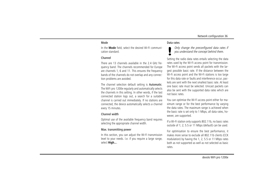#### Mode

In the **Mode** field, select the desired Wi-Fi communication standard.

#### Channel

There are 13 channels available in the 2.4 GHz frequency band. The channels recommended for Europe are channels 1, 6 and 11. This ensures the frequency bands of the channels do not overlap and any connection problems are avoided.

The channel selection default setting is **Automatic**. The WiFi pro 1200e regularly and automatically selects the channels in this setting. In other words, if the last connected station logs out, a search for a suitable channel is carried out immediately. If no stations are connected, the device automatically selects a channel every 15 minutes.

### Channel width

Optimal use of the available frequency band requires selecting the appropriate channel width.

#### Max. transmitting power

In this section, you can adjust the Wi-Fi transmission level to your needs. I.e. if you require a large range, select **High...**.

#### Data rates

*Only change the preconfigured data rates if you understand the concept behind them.*

Setting the radio data rates entails selecting the data rates used by the Wi-Fi access point for transmission. The Wi-Fi access point sends all packets with the largest possible basic rate. If the distance between the Wi-Fi access point and the Wi-Fi stations is too large for this data rate or faults and interference occur, packets are sent with the next smallest basic rate. At leastone basic rate must be selected. Unicast packets can also be sent with the supported data rates which are not basic rates.

You can optimise the Wi-Fi access point either for maximum range or for the best performance by varying the data rates. The maximum range is achieved when the basic rate is set only to 1 Mbps, all data rates, however, are supported.

If a Wi-Fi station only supports 802.11b, no basic rates outside of 1; 2; 5.5 or 11 Mbps (default) can be used.

For optimisation to ensure the best performance, it makes more sense to exclude all 802.11b clients (CCK modulation) by having the 1, 2, 5.5 or 11 Mbps rates both as not supported as well as not selected as basic rates.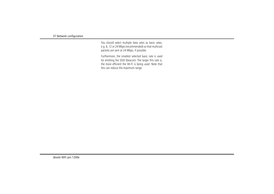You should select multiple data rates as basic rates, e.g. 6, 12 or 24 Mbps (recommended) so that multicast packets are sent at 24 Mbps, if possible.

Furthermore, the smallest selected basic rate is used for emitting the SSID (beacon). The larger this rate is, the more efficient the Wi-Fi is being used. Note that this can reduce the maximum range.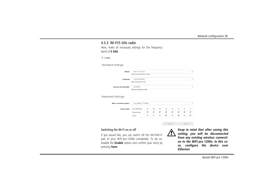### <span id="page-37-1"></span><span id="page-37-0"></span>4.5.3 Wi-Fi/5 GHz radio

Here, make all necessary settings for the frequency band of **5 GHz**.

**■** Enable

**Standard Settings** 

| Mode:                     | 802.11a/n/ac *          | ▼            |
|---------------------------|-------------------------|--------------|
|                           | Recommended: 802.11n/ac |              |
| Channel:                  | 36 (5180 MHz)           | $\mathbf{v}$ |
|                           | Recommended: Auto       |              |
| <b>Channel bandwidth:</b> | 80 MHz *                | ▼            |
|                           | Recommended: 20 MHz     |              |
|                           |                         |              |
| <b>Advanced Settings</b>  |                         |              |
|                           |                         |              |

| Max. transmit power: | Very High (27 dBm) |    |    |    |                          |    |    |   |   |
|----------------------|--------------------|----|----|----|--------------------------|----|----|---|---|
| <b>Data rates:</b>   | Rate (Mbit/s)      | 54 | 48 | 36 | 24                       | 18 | 12 | 9 | 6 |
|                      | Supported          |    |    |    |                          |    |    |   |   |
|                      | <b>Basic</b>       |    |    |    | $\overline{\mathcal{L}}$ |    |    |   |   |

#### Switching the Wi-Fi on or off

If you would like, you can switch off this Wi-FiWi-Fi part of your WiFi pro 1200e completely. To do so, disable the **Enable** option and confirm your entry by pressing **Save**.



Cancel

Save

*Keep in mind that after saving this setting, you will be disconnected from any existing wireless connection to the WiFi pro 1200e. In this case, configure the device over Ethernet.*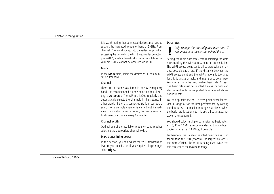It is worth noting that connected devices also have to support the increased frequency band of 5 GHz. From channel 52 onward you go into the radar range. When accessing the device for the first time, a radar detection phase (DFS) starts automatically, during which time the WiFi pro 1200e cannot be accessed via Wi-Fi.

### Mode

In the **Mode** field, select the desired Wi-Fi communication standard.

#### Channel

There are 13 channels available in the 5 GHz frequency band. The recommended channel selection default setting is Automatic. The WiFi pro 1200e regularly and automatically selects the channels in this setting. In other words, if the last connected station logs out, a search for a suitable channel is carried out immediately. If no stations are connected, the device automatically selects a channel every 15 minutes.

### Channel width

Optimal use of the available frequency band requires selecting the appropriate channel width.

### Max. transmitting power

In this section, you can adjust the Wi-Fi transmission level to your needs. I.e. if you require a large range, select **High...**.

#### Data rates

*Only change the preconfigured data rates if you understand the concept behind them.*

Setting the radio data rates entails selecting the data rates used by the Wi-Fi access point for transmission. The Wi-Fi access point sends all packets with the largest possible basic rate. If the distance between the Wi-Fi access point and the Wi-Fi stations is too large for this data rate or faults and interference occur, packets are sent with the next smallest basic rate. At leastone basic rate must be selected. Unicast packets can also be sent with the supported data rates which are not basic rates.

You can optimise the Wi-Fi access point either for maximum range or for the best performance by varying the data rates. The maximum range is achieved when the basic rate is set only to 1 Mbps, all data rates, however, are supported.

You should select multiple data rates as basic rates, e.g. 6, 12 or 24 Mbps (recommended) so that multicast packets are sent at 24 Mbps, if possible.

Furthermore, the smallest selected basic rate is used for emitting the SSID (beacon). The larger this rate is, the more efficient the Wi-Fi is being used. Note that this can reduce the maximum range.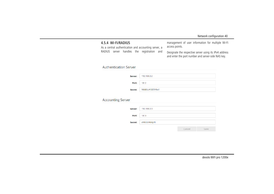### <span id="page-39-1"></span><span id="page-39-0"></span>4.5.4 Wi-Fi/RADIUS

<span id="page-39-3"></span>As a central authentication and accounting server, a RADIUS server handles the registration and management of user information for multiple Wi-Fi access points.

<span id="page-39-2"></span>Designate the respective server using its IPv4 address and enter the port number and server-side NAS key.

### **Authentication Server**

| Server: | 192.168.0.2      |
|---------|------------------|
| Port:   | 1812             |
| Secret: | \$6kB5L#1337X%x1 |

### **Accounting Server**

| Server: | 192.168.0.3           |        |      |
|---------|-----------------------|--------|------|
| Port:   | 1813                  |        |      |
|         | Secret: a%lU2v%0Aj<\$ |        |      |
|         |                       | Cancel | Save |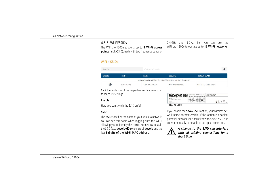### <span id="page-40-0"></span>4.5.5 Wi-Fi/SSIDs

<span id="page-40-1"></span>The WiFi pro 1200e supports up to **8 Wi-Fi access points** (multi-SSID), each with two frequency bands of

### WiFi / SSIDs

| Search        |            | display 1 of 1 entries |                                                                     |                      |  |
|---------------|------------|------------------------|---------------------------------------------------------------------|----------------------|--|
| Enable        | $SSID -$   | Radio                  | <b>Security</b>                                                     | <b>Default VLAN</b>  |  |
|               |            |                        | Allowed number of SSIDs: 8 for 2.4 GHz radio and 8 for 5 GHz radio. |                      |  |
| $\bm{\omega}$ | devolo-123 | $2.4$ GHz + 5 GHz      | WPA2-Enterprise                                                     | VLAN 1 (1) (dynamic) |  |

Click the table row of the respective Wi-Fi access point to reach its settings.

### Enable

Here you can switch the SSID on/off.

### SSID

The **SSID** specifies the name of your wireless network. You can see this name when logging onto the Wi-Fi, allowing you to identify the correct subnet. By default, the SSID (e.g. **devolo-d7e**) consists of **devolo** and the last **3 digits of the Wi-Fi MAC address**.

| devolo<br>devolo WiFi pro 1200e<br>MT:2783<br>S/N: 9999999999999999<br>desents AQ<br><b><i>STORE Auction</i></b> | System Name / SSID: devolo-xxx<br>WIFI Key: XXXXXXXXXXXXXXXXX | PoE In: IEEE 802 3at<br>Power: 12V/2.5A                                                                                         |  |
|------------------------------------------------------------------------------------------------------------------|---------------------------------------------------------------|---------------------------------------------------------------------------------------------------------------------------------|--|
|                                                                                                                  |                                                               | F4:06:8D:XX:XX:XX<br>LAN1 MAC:<br>LAN2 MAC: F4:06:8D:XX:XX:XX<br>2.4 GHz MAC: F4:06:8D:XX:XX:XX<br>5 GHz MAC: F4:06:8D:XX:XX:XX |  |
| Fig. 7: Label                                                                                                    |                                                               |                                                                                                                                 |  |

2.4 GHz and 5 GHz, i.e. you can use the WiFi pro 1200e to operate up to **16 Wi-Fi networks**.

If you enable the **Show SSID** option, your wireless network name becomes visible. If this option is disabled, potential network users must know the exact SSID and enter it manually to be able to set up a connection.



*A change to the SSID can interfere with all existing connections for a short time.*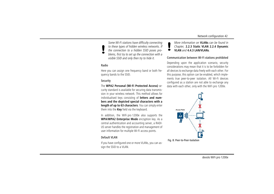*Some Wi-Fi stations have difficulty connecting to these types of hidden wireless networks. If the connection to a hidden SSID poses problems, first try to set up the connection with a visible SSID and only then try to hide it.*

### Radio

Here you can assign one frequency band or both frequency bands to the SSID.

### **Security**

The **WPA2 Personal (Wi-Fi Protected Access)** security standard is available for securing data transmission in your wireless network. This method allows for individualised keys consisting of **letters and numbers and the depicted special characters with a length of up to 63 characters**. You can simply enter them into the **Key** field via the keyboard.

<span id="page-41-3"></span><span id="page-41-0"></span>In addition, the WiFi pro 1200e also supports the **WPA/WPA2 Enterprise Mode** encryption key. As a central authentication and accounting server, a RADI-US server handles the registration and management of user information for multiple Wi-Fi access points.

### <span id="page-41-1"></span>Default VLAN

If you have configured one or more VLANs, you can assign the SSID to a VLAN.

*More information on* **VLANs** *can be found inChapter,* **[2.2.3 Static VLAN](#page-13-1) [2.2.4 Dynamic](#page-14-1) [VLAN](#page-14-1)** *and* **[4.4.3 LAN/VLANs](#page-31-0)***.* 

#### Communication between Wi-Fi stations prohibited

Depending upon the application scenario, security considerations may mean that it is to be forbidden for all devices to exchange data freely with each other. For this purpose, this option can be enabled, which implements true peer-to-peer isolation. All Wi-Fi devices configured as a station are not able to exchange any data with each other, only with the WiFi pro 1200e.

<span id="page-41-2"></span>

Fig. 8: Peer-to-Peer-Isolation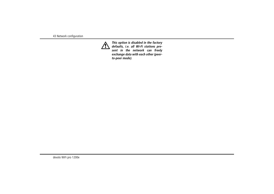

*This option is disabled in the factory defaults, i.e. all Wi-Fi stations present in the network can freely exchange data with each other (peerto-peer mode).*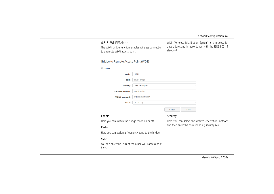### <span id="page-43-1"></span><span id="page-43-0"></span>4.5.6 Wi-Fi/Bridge

The Wi-Fi bridge function enables wireless connection to a remote Wi-Fi access point.

WDS (Wireless Distribution System) is a process for data addressing in accordance with the IEEE 802.11 standard.

#### Bridge to Remote Access Point (WDS)

| Radio:                  | 5 GHz             |        | ▼                       |
|-------------------------|-------------------|--------|-------------------------|
| SSID:                   | devolo-bridge     |        |                         |
| <b>Security:</b>        | WPA2-Enterprise   |        | $\overline{\mathbf{v}}$ |
| <b>RADIUS username:</b> | devolo radius     |        |                         |
| <b>RADIUS password:</b> | 34\$bZ7k&d#!hb6C? |        |                         |
| <b>VLAN:</b>            | <b>VLAN 1 (1)</b> |        | $\mathbf{v}$            |
|                         |                   | Cancel | Save                    |

#### Enable

Here you can switch the bridge mode on or off.

### Security

Here you can select the desired encryption methods and then enter the corresponding security key.

### Radio

Here you can assign a frequency band to the bridge.

#### SSID

You can enter the SSID of the other Wi-Fi access point here.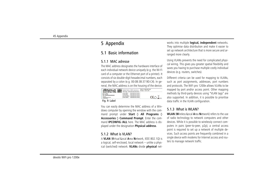### <span id="page-44-0"></span>5 Appendix

### <span id="page-44-1"></span>5.1 Basic information

### <span id="page-44-5"></span><span id="page-44-2"></span>5.1.1 MAC adresse

The MAC address designates the hardware interface of each individual network device uniquely (e.g. the Wi-Fi card of a computer or the Ethernet port of a printer). It consists of six double-digit hexadecimal numbers, each separated by a colon (e.g. 00:0B:3B:37:9D:C4). In general, the MAC address is on the housing of the device.

| devolo<br>devolo WiFi pro 1200e<br>MT2783<br>S.N: 99999999999999999<br><b>Toyota (See Equipment Atlanta EQ)</b><br>D. ADDINE Aw fresh | <b>ROAD</b> | System Name / SSID: devolo-lox<br>WIFI Key: XXXXXXXXXXXXXXXX                                                                 | PoE In: IEEE 802 3at<br>Power: 12V/2.5A |  |
|---------------------------------------------------------------------------------------------------------------------------------------|-------------|------------------------------------------------------------------------------------------------------------------------------|-----------------------------------------|--|
|                                                                                                                                       |             | LAN1 MAC: F4:06:8D:XX:XX:XX<br>LAN2 MAC: F4:06:8D:XX:XX:XX<br>2.4 GHz MAC: F4:06:8D:XX:XX:XX<br>5 GHz MAC: F4:06:8D:XX:XX:XX |                                         |  |

You can easily determine the MAC address of a Windows computer by opening the window with the command prompt under **Start**  $\uparrow$  **All Programs**  $\uparrow$ **Accessories**  $\Diamond$  **Command Prompt**. Enter the command **IPCONFIG /ALL** here. The MAC address is displayed under the designation **Physical address**. **Fig. 9:** Label data traffic in the VLAN configration<br>
ou can easily determine the MAC address of a Win-<br>
ows computer by opening the window with the com-<br> **5.1.3 What is WLAN?**<br> **5.1.3 What is WLAN?**<br> **6.1.3 What is WLAN** 

### <span id="page-44-3"></span>5.1.2 What is VLAN?

A **VLAN** (**V**irtual **L**ocal **A**rea **N**etwork, IEEE 802.1Q) is a logical, self-enclosed, local network – unlike a physical (switched) network. **VLANs** divide **physical** net-

works into multiple **logical, independent** networks. They optimise data distribution and make it easier to set up network architecture that is more secure and ar ranged more clearly.<br>Using VLANs prevents the need for complicated physi-

cal wiring. This gives you greater spatial flexibility and saves you having to purchase multiple costly individual devices (e.g. routers, switches).<br>Different criteria can be used for mapping to VLANs,

such as port assignments, addresses, port numbers and protocols. The WiFi pro 1200e allows VLANs to be mapped by port and/or access point. Other mapping methods by third-party devices using "VLAN tags" are also supported. In addition, it is possible to prioritise data traffic in the VLAN configuration.

### <span id="page-44-4"></span>5.1.3 What is WLAN?

**WLAN** (**W**ireless **L**ocal **A**rea **N**etwork) refers to the use of radio technology to network computers and other devices. While it is possible to wirelessly connect com puters in pairs (peer-to-peer, p2p), a central access point is required to set up a network of multiple de vices. Such access points are frequently combined in a single device with modems for Internet access and rou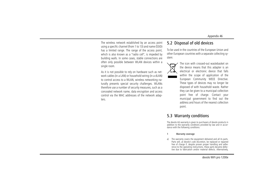The wireless network established by an access point using a specific channel (from 1 to 13) and name (SSID) has a limited range. The range of the access point, which is also known as a "radio cell", is impeded by building walls. In some cases, stable connections are often only possible between WLAN devices within a single room.

As it is not possible to rely on hardware such as network cables (in a LAN) or household wiring (in a dLAN) to control access to a WLAN, wireless networking naturally presents special security challenges. WLANs therefore use a number of security measures, such as a concealed network name, data encryption and access control via the MAC addresses of the network adapters.

### <span id="page-45-2"></span><span id="page-45-0"></span>5.2 Disposal of old devices

To be used in the countries of the European Union and other European countries with a separate collecting system:



The icon with crossed-out wastebasket onthe device means that this adapter is an electrical or electronic device that falls within the scope of application of the European Community WEEE Directive. These types of devices may no longer be disposed of with household waste. Rather they can be given to a municipal collection point free of charge. Contact your municipal government to find out the address and hours of the nearest collectionpoint.

### <span id="page-45-3"></span><span id="page-45-1"></span>5.3 Warranty conditions

The devolo AG warranty is given to purchasers of devolo products in addition to the warranty conditions provided by law and in accordance with the following conditions:

#### 1 Warranty coverage

The warranty covers the equipment delivered and all its parts. Parts will, at devolo's sole discretion, be replaced or repaired free of charge if, despite proven proper handling and adherence to the operating instructions, these parts became defective due to fabrication and/or material defects. Alternatively,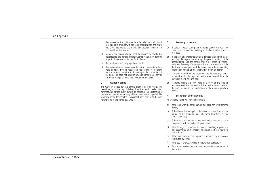devolo reserves the right to replace the defective product with a comparable product with the same specifications and features. Operating manuals and possibly supplied software are excluded from the warranty.

- b) Material and service charges shall be covered by devolo, but not shipping and handling costs involved in transport from the buyer to the service station and/or to devolo.
- c) Replaced parts become property of devolo.
- d) devolo is authorized to carry out technical changes (e.g. firmware updates) beyond repair and replacement of defective parts in order to bring the equipment up to the current technical state. This does not result in any additional charge for the customer. A legal claim to this service does not exist.

#### 2 Warranty period

The warranty period for this devolo product is three years. This period begins at the day of delivery from the devolo dealer. Warranty services carried out by devolo do not result in an extension of the warranty period nor do they initiate a new warranty period. The warranty period for installed replacement parts ends with the warranty period of the device as a whole.

#### 3 Warranty procedure

- a) If defects appear during the warranty period, the warranty claims must be made immediately, at the latest within a period of 7 days.
- b) In the case of any externally visible damage arising from transport (e.g. damage to the housing), the person carrying out the transportation and the sender should be informed immediately. On discovery of damage which is not externally visible, the transport company and the sender are to be immediately informed in writing, at the latest within 3 days of delivery.
- c) Transport to and from the location where the warranty claim is accepted and/or the repaired device is exchanged, is at the purchaser's own risk and cost.
- Warranty claims are only valid if a copy of the original purchase receipt is returned with the device. devolo reserves the right to require the submission of the original purchase receipt.

#### Suspension of the warranty

All warranty claims will be deemed invalid

- a) if the label with the serial number has been removed from the device,
- b) if the device is damaged or destroyed as a result of acts of nature or by environmental influences (moisture, electric shock, dust, etc.),
- if the device was stored or operated under conditions not in compliance with the technical specifications,
- if the damage occurred due to incorrect handling, especially to non-observance of the system description and the operating instructions,
- e) if the device was opened, repaired or modified by persons not contracted by devolo,
- if the device shows any kind of mechanical damage, or
- g) if the warranty claim has not been reported in accordance with 3a) or 3b).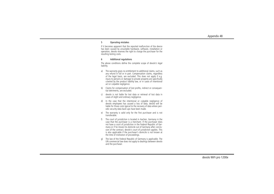#### 5 Operating mistakes

If it becomes apparent that the reported malfunction of the device has been caused by unsuitable hardware, software, installation or operation, devolo reserves the right to charge the purchaser for the resulting testing costs.

#### 6 Additional regulations

The above conditions define the complete scope of devolo's legal liability.

- a) The warranty gives no entitlement to additional claims, such as any refund in full or in part. Compensation claims, regardless of the legal basis, are excluded. This does not apply if e.g. injury to persons or damage to private property are specifically covered by the product liability law, or in cases of intentional act or culpable negligence.
- b) Claims for compensation of lost profits, indirect or consequential detriments, are excluded.
- c) devolo is not liable for lost data or retrieval of lost data in cases of slight and ordinary negligence.
- d) In the case that the intentional or culpable negligence of devolo employees has caused a loss of data, devolo will be liable for those costs typical to the recovery of data where periodic security data back-ups have been made.
- e) The warranty is valid only for the first purchaser and is not transferable.
- f) The court of jurisdiction is located in Aachen, Germany in the case that the purchaser is a merchant. If the purchaser does not have a court of jurisdiction in the Federal Republic of Germany or if he moves his domicile out of Germany after conclusion of the contract, devolo's court of jurisdiction applies. This is also applicable if the purchaser's domicile is not known at the time of institution of proceedings.
- g) The law of the Federal Republic of Germany is applicable. The UN commercial law does not apply to dealings between devolo and the purchaser.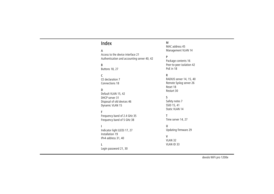### Index

### A

[Access to the device interface 21](#page-20-3)[Authentication and accounting server 40,](#page-39-1) [42](#page-41-0)

### B

[Buttons 18,](#page-17-4) [27](#page-26-2)

#### $\mathcal{C}$

[CE declaration 7](#page-6-3)[Connections 18](#page-17-5)

#### D

[Default VLAN 15,](#page-14-2) [42](#page-41-1) [DHCP server 31](#page-30-3)[Disposal of old devices 46](#page-45-2) [Dynamic VLAN 15](#page-14-3)

#### F

[Frequency band of 2.4 GHz 35](#page-34-1) [Frequency band of 5 GHz 38](#page-37-1)

[Indicator light \(LED\) 17,](#page-16-3) [27](#page-26-3) [Installation 19](#page-18-2)[IPv4 address 31,](#page-30-4) [40](#page-39-2)

#### L

[Login password 21,](#page-20-4) [30](#page-29-2)

#### M

[MAC address 45](#page-44-5)[Management VLAN 14](#page-13-2)

#### P

[Package contents 16](#page-15-2) [Peer-to-peer isolation 42](#page-41-2) [PoE in 18](#page-17-6)

#### R

[RADIUS server 14,](#page-13-3) [15,](#page-14-4) [40](#page-39-3) [Remote Syslog server 26](#page-25-3) [Reset 18](#page-17-7)[Restart 30](#page-29-3)

#### S

[Safety notes 7](#page-6-4) [SSID 15,](#page-14-5) [41](#page-40-1) [Static VLAN 14](#page-13-4)

#### T

[Time server 14,](#page-13-5) [27](#page-26-4)

#### U

[Updating firmware 29](#page-28-1)

#### V

[VLAN 32](#page-31-1)[VLAN ID 33](#page-32-0)